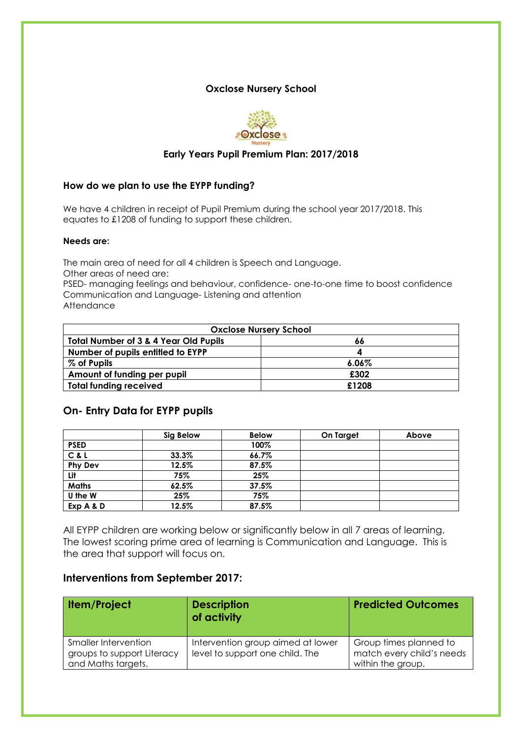#### **Oxclose Nursery School**



### **Early Years Pupil Premium Plan: 2017/2018**

#### **How do we plan to use the EYPP funding?**

We have 4 children in receipt of Pupil Premium during the school year 2017/2018. This equates to £1208 of funding to support these children.

#### **Needs are:**

The main area of need for all 4 children is Speech and Language. Other areas of need are:

PSED- managing feelings and behaviour, confidence- one-to-one time to boost confidence Communication and Language- Listening and attention Attendance

| <b>Oxclose Nursery School</b>                    |          |  |  |  |
|--------------------------------------------------|----------|--|--|--|
| <b>Total Number of 3 &amp; 4 Year Old Pupils</b> | 66       |  |  |  |
| Number of pupils entitled to EYPP                |          |  |  |  |
| % of Pupils                                      | $6.06\%$ |  |  |  |
| Amount of funding per pupil                      | £302     |  |  |  |
| <b>Total funding received</b>                    | £1208    |  |  |  |

#### **On- Entry Data for EYPP pupils**

|                | Sig Below | <b>Below</b> | On Target | Above |
|----------------|-----------|--------------|-----------|-------|
| <b>PSED</b>    |           | 100%         |           |       |
| C & L          | 33.3%     | 66.7%        |           |       |
| <b>Phy Dev</b> | 12.5%     | 87.5%        |           |       |
| Lit            | 75%       | 25%          |           |       |
| <b>Maths</b>   | 62.5%     | 37.5%        |           |       |
| U the W        | 25%       | 75%          |           |       |
| Exp A & D      | 12.5%     | 87.5%        |           |       |

All EYPP children are working below or significantly below in all 7 areas of learning. The lowest scoring prime area of learning is Communication and Language. This is the area that support will focus on.

# **Interventions from September 2017:**

| <b>Item/Project</b>                                                      | <b>Description</b><br>of activity                                    | <b>Predicted Outcomes</b>                                                |
|--------------------------------------------------------------------------|----------------------------------------------------------------------|--------------------------------------------------------------------------|
| Smaller Intervention<br>groups to support Literacy<br>and Maths targets. | Intervention group aimed at lower<br>level to support one child. The | Group times planned to<br>match every child's needs<br>within the group. |